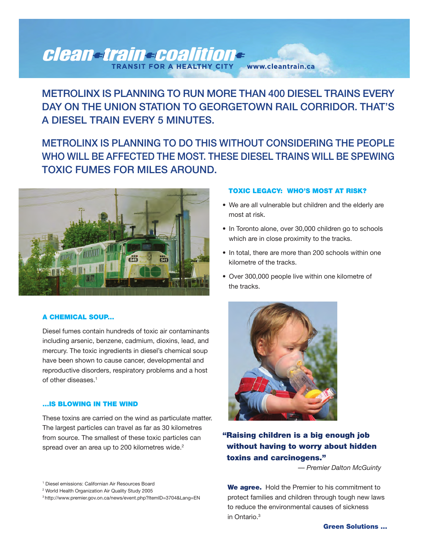### clean-train-coalition-FOR A HEALTHY CITY www.cleantrain.ca

## **METROLINX IS PLANNING TO RUN MORE THAN 400 DIESEL TRAINS EVERY DAY ON THE UNION STATION TO GEORGETOWN RAIL CORRIDOR. THAT'S A DIESEL TRAIN EVERY 5 MINUTES.**

# **METROLINX IS PLANNING TO DO THIS WITHOUT CONSIDERING THE PEOPLE WHO WILL BE AFFECTED THE MOST. THESE DIESEL TRAINS WILL BE SPEWING TOXIC FUMES FOR MILES AROUND.**



#### **A CHEMICAL SOUP...**

Diesel fumes contain hundreds of toxic air contaminants including arsenic, benzene, cadmium, dioxins, lead, and mercury. The toxic ingredients in diesel's chemical soup have been shown to cause cancer, developmental and reproductive disorders, respiratory problems and a host of other diseases. 1

#### **...IS BLOWING IN THE WIND**

These toxins are carried on the wind as particulate matter. The largest particles can travel as far as 30 kilometres from source. The smallest of these toxic particles can spread over an area up to 200 kilometres wide.<sup>2</sup>

#### <sup>1</sup> Diesel emissions: Californian Air Resources Board

<sup>2</sup> World Health Organization Air Quality Study 2005

#### **TOXIC LEGACY: WHO'S MOST AT RISK?**

- We are all vulnerable but children and the elderly are most at risk.
- In Toronto alone, over 30,000 children go to schools which are in close proximity to the tracks.
- In total, there are more than 200 schools within one kilometre of the tracks.
- Over 300,000 people live within one kilometre of the tracks.



## **"Raising children is a big enough job without having to worry about hidden toxins and carcinogens."**

*— Premier Dalton McGuinty*

**We agree.** Hold the Premier to his commitment to protect families and children through tough new laws to reduce the environmental causes of sickness in Ontario. 3

<sup>3</sup> http://www.premier.gov.on.ca/news/event.php?ItemID=3704&Lang=EN